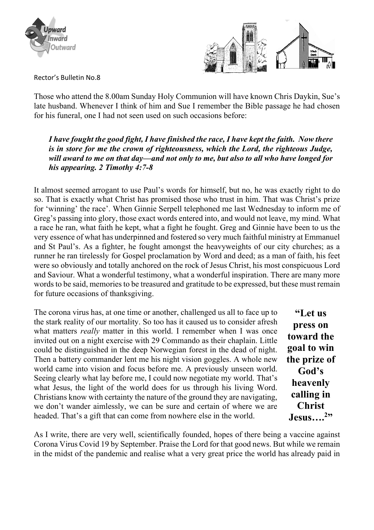



Rector's Bulletin No.8

Those who attend the 8.00am Sunday Holy Communion will have known Chris Daykin, Sue's late husband. Whenever I think of him and Sue I remember the Bible passage he had chosen for his funeral, one I had not seen used on such occasions before:

*I have fought the good fight, I have finished the race, I have kept the faith. Now there is in store for me the crown of righteousness, which the Lord, the righteous Judge, will award to me on that day—and not only to me, but also to all who have longed for his appearing. 2 Timothy 4:7-8*

It almost seemed arrogant to use Paul's words for himself, but no, he was exactly right to do so. That is exactly what Christ has promised those who trust in him. That was Christ's prize for 'winning' the race'. When Ginnie Serpell telephoned me last Wednesday to inform me of Greg's passing into glory, those exact words entered into, and would not leave, my mind. What a race he ran, what faith he kept, what a fight he fought. Greg and Ginnie have been to us the very essence of what has underpinned and fostered so very much faithful ministry at Emmanuel and St Paul's. As a fighter, he fought amongst the heavyweights of our city churches; as a runner he ran tirelessly for Gospel proclamation by Word and deed; as a man of faith, his feet were so obviously and totally anchored on the rock of Jesus Christ, his most conspicuous Lord and Saviour. What a wonderful testimony, what a wonderful inspiration. There are many more words to be said, memories to be treasured and gratitude to be expressed, but these must remain for future occasions of thanksgiving.

The corona virus has, at one time or another, challenged us all to face up to the stark reality of our mortality. So too has it caused us to consider afresh what matters *really* matter in this world. I remember when I was once invited out on a night exercise with 29 Commando as their chaplain. Little could be distinguished in the deep Norwegian forest in the dead of night. Then a battery commander lent me his night vision goggles. A whole new world came into vision and focus before me. A previously unseen world. Seeing clearly what lay before me, I could now negotiate my world. That's what Jesus, the light of the world does for us through his living Word. Christians know with certainty the nature of the ground they are navigating, we don't wander aimlessly, we can be sure and certain of where we are headed. That's a gift that can come from nowhere else in the world.

**"Let us press on toward the goal to win the prize of God's heavenly calling in Christ Jesus….<sup>2</sup> "**

As I write, there are very well, scientifically founded, hopes of there being a vaccine against Corona Virus Covid 19 by September. Praise the Lord for that good news. But while we remain in the midst of the pandemic and realise what a very great price the world has already paid in